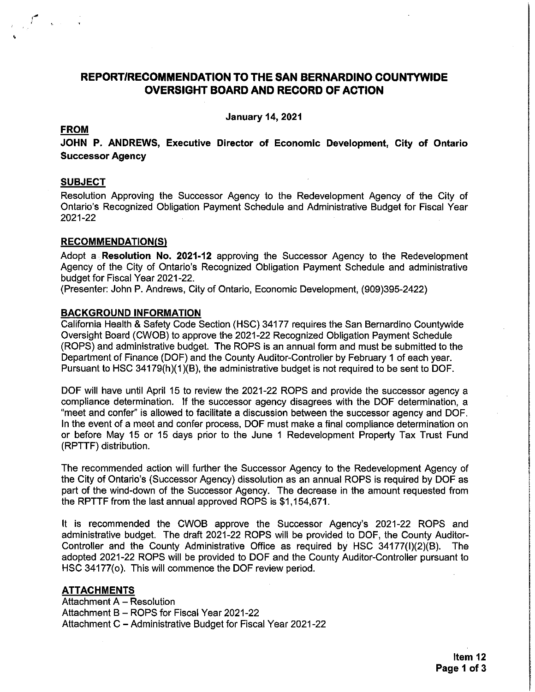### REPORT/RECOMMENDATION TO THE SAN BERNARDINO COUNTYWIDE **OVERSIGHT BOARD AND RECORD OF ACTION**

**January 14, 2021** 

#### **FROM**

 $\int_{\mathcal{A}^{\infty}_{\mathcal{A}}} \int_{\mathcal{A}^{\infty}_{\mathcal{A}}} \left| \mathbf{1}_{\mathcal{A}^{\infty}_{\mathcal{A}}} \right| \leq \frac{1}{2}$ 

JOHN P. ANDREWS, Executive Director of Economic Development, City of Ontario **Successor Agency** 

#### **SUBJECT**

Resolution Approving the Successor Agency to the Redevelopment Agency of the City of Ontario's Recognized Obligation Payment Schedule and Administrative Budget for Fiscal Year 2021-22

### **RECOMMENDATION(S)**

Adopt a Resolution No. 2021-12 approving the Successor Agency to the Redevelopment Agency of the City of Ontario's Recognized Obligation Payment Schedule and administrative budget for Fiscal Year 2021-22.

(Presenter: John P. Andrews, City of Ontario, Economic Development, (909)395-2422)

#### **BACKGROUND INFORMATION**

California Health & Safety Code Section (HSC) 34177 requires the San Bernardino Countywide Oversight Board (CWOB) to approve the 2021-22 Recognized Obligation Payment Schedule (ROPS) and administrative budget. The ROPS is an annual form and must be submitted to the Department of Finance (DOF) and the County Auditor-Controller by February 1 of each year. Pursuant to HSC 34179(h)(1)(B), the administrative budget is not required to be sent to DOF.

DOF will have until April 15 to review the 2021-22 ROPS and provide the successor agency a compliance determination. If the successor agency disagrees with the DOF determination, a "meet and confer" is allowed to facilitate a discussion between the successor agency and DOF. In the event of a meet and confer process, DOF must make a final compliance determination on or before May 15 or 15 days prior to the June 1 Redevelopment Property Tax Trust Fund (RPTTF) distribution.

The recommended action will further the Successor Agency to the Redevelopment Agency of the City of Ontario's (Successor Agency) dissolution as an annual ROPS is required by DOF as part of the wind-down of the Successor Agency. The decrease in the amount requested from the RPTTF from the last annual approved ROPS is \$1,154,671.

It is recommended the CWOB approve the Successor Agency's 2021-22 ROPS and administrative budget. The draft 2021-22 ROPS will be provided to DOF, the County Auditor-Controller and the County Administrative Office as required by HSC 34177(I)(2)(B). The adopted 2021-22 ROPS will be provided to DOF and the County Auditor-Controller pursuant to HSC 34177(o). This will commence the DOF review period.

#### **ATTACHMENTS**

Attachment A - Resolution Attachment B - ROPS for Fiscal Year 2021-22 Attachment C - Administrative Budget for Fiscal Year 2021-22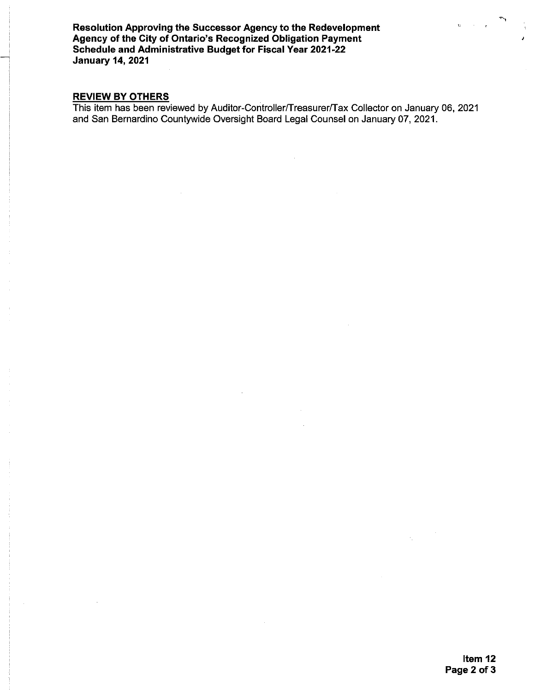Resolution Approving the Successor Agency to the Redevelopment Agency of the City of Ontario's Recognized Obligation Payment<br>Schedule and Administrative Budget for Fiscal Year 2021-22 **January 14, 2021** 

### **REVIEW BY OTHERS**

This item has been reviewed by Auditor-Controller/Treasurer/Tax Collector on January 06, 2021<br>and San Bernardino Countywide Oversight Board Legal Counsel on January 07, 2021.

 $\sim$   $\sim$   $\sim$ 

 $\hat{\mathbf{u}}^{\dagger}$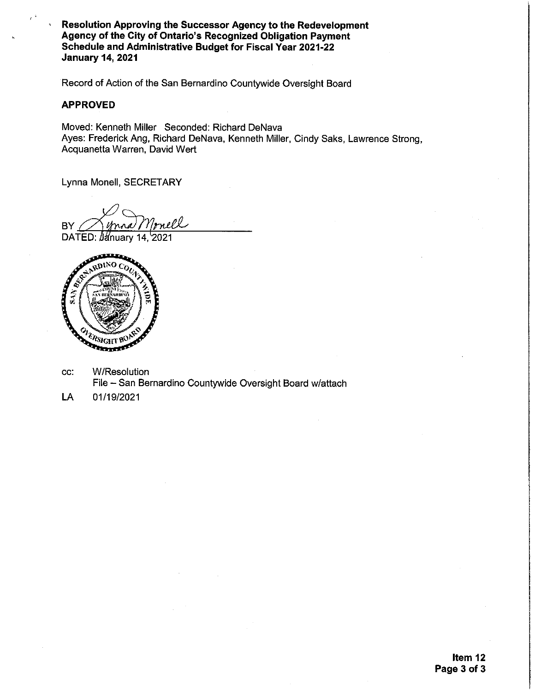Resolution Approving the Successor Agency to the Redevelopment Agency of the City of Ontario's Recognized Obligation Payment Schedule and Administrative Budget for Fiscal Year 2021-22 **January 14, 2021** 

Record of Action of the San Bernardino Countywide Oversight Board

#### **APPROVED**

Moved: Kenneth Miller Seconded: Richard DeNava Ayes: Frederick Ang, Richard DeNava, Kenneth Miller, Cindy Saks, Lawrence Strong, Acquanetta Warren, David Wert

Lynna Monell, SECRETARY

**BY** 

DATED: Uanuary 14, 2021



- **W/Resolution**  $cc$ : File - San Bernardino Countywide Oversight Board w/attach
- **LA** 01/19/2021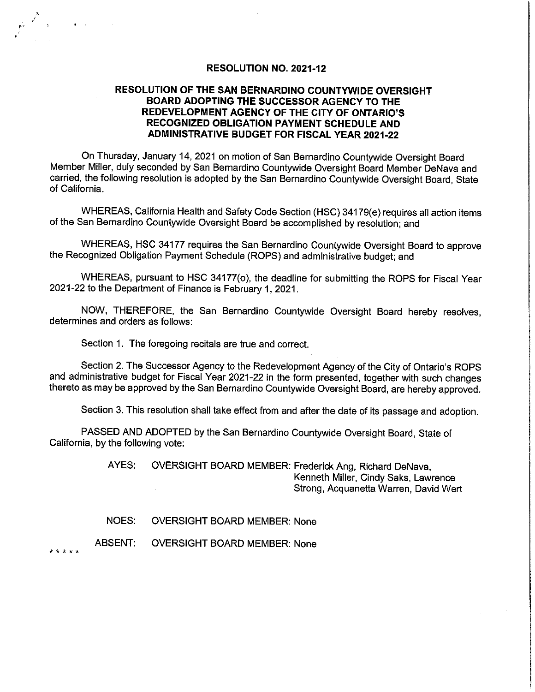#### RESOLUTION NO. 2021-12

### RESOLUTION OF THE SAN BERNARDINO COUNTYWIDE OVERSIGHT BOARD ADOPTING THE SUCCESSOR AGENCY TO THE REDEVELOPMENT AGENCY OF THE CITY OF ONTARIO'S **RECOGNIZED OBLIGATION PAYMENT SCHEDULE AND ADMINISTRATIVE BUDGET FOR FISCAL YEAR 2021-22**

On Thursday, January 14, 2021 on motion of San Bernardino Countywide Oversight Board Member Miller, duly seconded by San Bernardino Countywide Oversight Board Member DeNava and carried, the following resolution is adopted by the San Bernardino Countywide Oversight Board, State of California.

WHEREAS, California Health and Safety Code Section (HSC) 34179(e) requires all action items of the San Bernardino Countywide Oversight Board be accomplished by resolution; and

WHEREAS, HSC 34177 requires the San Bernardino Countywide Oversight Board to approve the Recognized Obligation Payment Schedule (ROPS) and administrative budget; and

WHEREAS, pursuant to HSC 34177(o), the deadline for submitting the ROPS for Fiscal Year 2021-22 to the Department of Finance is February 1, 2021.

NOW, THEREFORE, the San Bernardino Countywide Oversight Board hereby resolves, determines and orders as follows:

Section 1. The foregoing recitals are true and correct.

Section 2. The Successor Agency to the Redevelopment Agency of the City of Ontario's ROPS and administrative budget for Fiscal Year 2021-22 in the form presented, together with such changes thereto as may be approved by the San Bernardino Countywide Oversight Board, are hereby approved.

Section 3. This resolution shall take effect from and after the date of its passage and adoption.

PASSED AND ADOPTED by the San Bernardino Countywide Oversight Board, State of California, by the following vote:

> AYES: OVERSIGHT BOARD MEMBER: Frederick Ang, Richard DeNava, Kenneth Miller, Cindy Saks, Lawrence Strong, Acquanetta Warren, David Wert

NOES: **OVERSIGHT BOARD MEMBER: None** 

**ABSENT: OVERSIGHT BOARD MEMBER: None** 

\* \* \* \* \*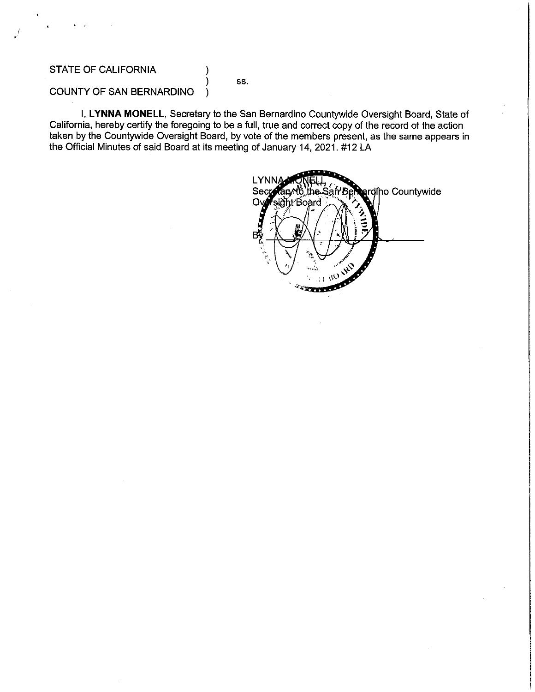### **STATE OF CALIFORNIA**

SS.

ı

#### COUNTY OF SAN BERNARDINO  $\mathcal{E}$

I, LYNNA MONELL, Secretary to the San Bernardino Countywide Oversight Board, State of California, hereby certify the foregoing to be a full, true and correct copy of the record of the action taken by the Countywide Oversight Board, by vote of the members present, as the same appears in the Official Minutes of said Board at its meeting of January 14, 2021. #12 LA

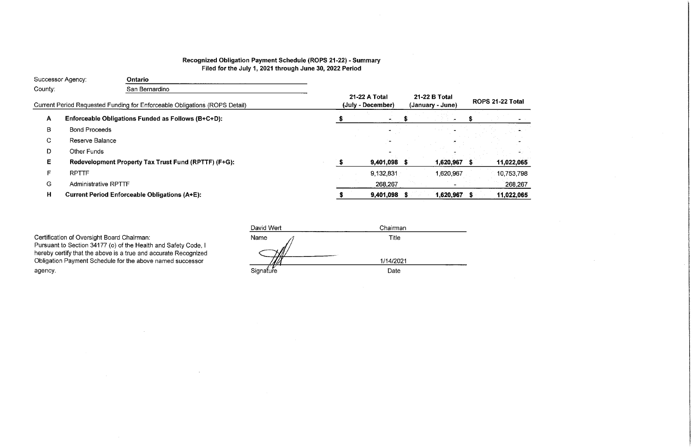## Recognized Obligation Payment Schedule (ROPS 21-22) - Summary Filed for the July 1, 2021 through June 30, 2022 Period

|              | Successor Agency:           | <b>Ontario</b>                                                             |                                    |                                   |                   |  |      |
|--------------|-----------------------------|----------------------------------------------------------------------------|------------------------------------|-----------------------------------|-------------------|--|------|
| County:      |                             | San Bernardino                                                             |                                    |                                   |                   |  |      |
|              |                             | Current Period Requested Funding for Enforceable Obligations (ROPS Detail) | 21-22 A Total<br>(July - December) | 21-22 B Total<br>(January - June) | <b>ROPS 21-22</b> |  |      |
| $\mathbf{A}$ |                             | Enforceable Obligations Funded as Follows (B+C+D):                         |                                    | <b>MA</b>                         |                   |  |      |
| B            | <b>Bond Proceeds</b>        |                                                                            |                                    |                                   |                   |  |      |
| C.           | Reserve Balance             |                                                                            |                                    |                                   |                   |  |      |
| D            | <b>Other Funds</b>          |                                                                            |                                    |                                   |                   |  |      |
| E.           |                             | Redevelopment Property Tax Trust Fund (RPTTF) (F+G):                       |                                    | $9,401,098$ \$                    | 1,620,967         |  | 11,0 |
| F            | <b>RPTTF</b>                |                                                                            |                                    | 9,132,831                         | 1,620,967         |  | 10,7 |
| G            | <b>Administrative RPTTF</b> |                                                                            |                                    | 268,267                           |                   |  |      |
| H            |                             | <b>Current Period Enforceable Obligations (A+E):</b>                       |                                    | 9,401,098                         | 1,620,967         |  | 11,0 |
|              |                             |                                                                            |                                    |                                   |                   |  |      |

Certification of Oversight Board Chairman: Pursuant to Section 34177 (o) of the Health and Safety Code, I hereby certify that the above is a true and accurate Recognized Obligation Payment Schedule for the above named successor agency.

| David Wert | Chairman  |
|------------|-----------|
| Name       | Title     |
|            | 1/14/2021 |
| Signature  | Date      |

# 2 Total

022,065 753,798 268,267

 $,022,065$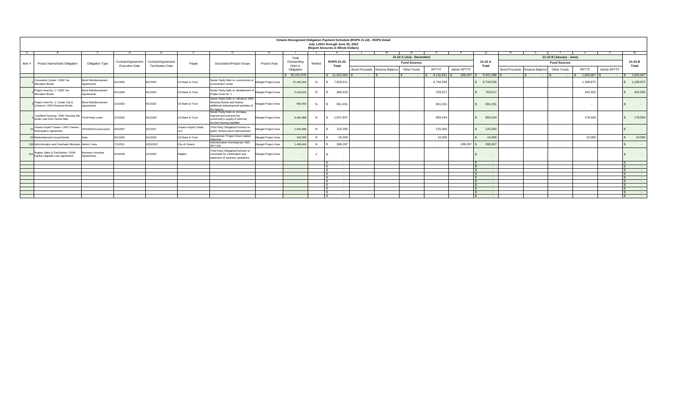|       |                                                                                       |                                         |                                             |                                               |                         |                                                                                                                            |                     |                        |         | July 1,2021 through June 30, 2022<br>(Report Amounts in Whole Dollars) | <b>Ontario Recognized Obligation Payment Schedule (ROPS 21-22) - ROPS Detail</b> |                           |              |                    |                                           |                                 |                                                      |              |                    |                                   |
|-------|---------------------------------------------------------------------------------------|-----------------------------------------|---------------------------------------------|-----------------------------------------------|-------------------------|----------------------------------------------------------------------------------------------------------------------------|---------------------|------------------------|---------|------------------------------------------------------------------------|----------------------------------------------------------------------------------|---------------------------|--------------|--------------------|-------------------------------------------|---------------------------------|------------------------------------------------------|--------------|--------------------|-----------------------------------|
| A     |                                                                                       |                                         |                                             |                                               |                         |                                                                                                                            |                     |                        |         |                                                                        |                                                                                  |                           |              |                    |                                           |                                 |                                                      |              |                    |                                   |
|       |                                                                                       |                                         |                                             |                                               |                         |                                                                                                                            |                     | Total                  |         |                                                                        |                                                                                  | 21-22 A (July - December) |              |                    |                                           |                                 | 21-22 B (January - June)                             |              |                    |                                   |
| Item# | Project Name/Debt Obligation                                                          | <b>Obligation Type</b>                  | Contract/Agreement<br><b>Execution Date</b> | Contract/Agreement<br><b>Termination Date</b> | Payee                   | <b>Description/Project Scope</b>                                                                                           | <b>Project Area</b> | Outstanding<br>Debt or | Retired | <b>ROPS 21-22</b><br><b>Total</b>                                      |                                                                                  | <b>Fund Sources</b>       |              |                    | 21-22 A<br><b>Total</b>                   |                                 | <b>Fund Sources</b>                                  |              |                    | 21-22 B<br><b>Total</b>           |
|       |                                                                                       |                                         |                                             |                                               |                         |                                                                                                                            |                     | Obligation             |         |                                                                        | Reserve Balance<br>Bond Proceeds                                                 | <b>Other Funds</b>        | <b>RPTTF</b> | <b>Admin RPTTF</b> |                                           | Bond Proceeds   Reserve Balance | <b>Other Funds</b>                                   | <b>RPTTF</b> | <b>Admin RPTTF</b> |                                   |
|       |                                                                                       |                                         |                                             |                                               |                         |                                                                                                                            |                     | \$55,101,978           |         | $$11,022,065$ \ \$                                                     | $\sim$ 100 $\sim$<br>$\sim$ 100 $\sim$                                           | $\sim$ $-$                | 9,132,831    |                    | $9,401,098$ $\mid$                        | $\sim$ $\sim$ $\sim$            | <b>Contract Contract</b><br><b>Contract Contract</b> | 1,620,967    |                    | 1,620,967                         |
|       | Convention Center / 1993 Tax<br><b>Allocation Bonds</b>                               | <b>Bond Reimbursement</b><br>Agreements | 6/1/1993                                    | 8/1/2025                                      | US Bank & Trust         | Senior Parity Debt re: construction of  Merged Project Area<br>a convention center                                         |                     | 37,292,264             | N       | 7,933,911                                                              |                                                                                  |                           | 6,744,039    |                    | 6,744,039                                 |                                 |                                                      | 1,189,872    |                    | 1,189,872                         |
|       | Project Area No. 1 / 1995 Tax<br><b>Allocation Bonds</b>                              | <b>Bond Reimbursement</b><br>Agreements | 8/1/1995                                    | 8/1/2025                                      | US Bank & Trust         | Senior Parity Debt re: development of Merged Project Area<br>Project Area No. 1                                            |                     | 5,018,015              | N       | 946,019                                                                |                                                                                  |                           | 703,517      |                    | 703,517                                   |                                 |                                                      | 242,502      |                    | 242,502                           |
|       | Project Area No. 1, Center City &<br>Cimarron / 2002 Revenue Bonds                    | <b>Bond Reimbursement</b><br>Agreements | 2/1/2002                                    | 8/1/2022                                      | US Bank & Trust         | Senior Parity Debt re: refinance 1992<br>Revenue Bonds and finance<br>additional redevelopment activities of<br>the Agency | Merged Project Area | 656,550                |         | 691,031                                                                |                                                                                  |                           | 691,031      |                    | 691,031                                   |                                 |                                                      |              |                    | $\sim 100$ km s $^{-1}$           |
|       | 1 Low/Mod Housing / 2002 Housing Set- Third-Party Loans<br>Aside Loan from Fannie Mae |                                         | 2/1/2002                                    | 8/1/2029                                      | US Bank & Trust         | Senior Parity Debt re: increase,<br>improve and preserve the<br>community's supply of low/mod<br>ncome housing available   | Merged Project Area | 9,481,988              | N       | 1,037,837<br><b>S</b>                                                  |                                                                                  |                           | 859,244      |                    | 859,244                                   |                                 |                                                      | 178,593      |                    | 178,593                           |
|       | Ontario Airport Towers / 2007 Owners<br>Participation Agreement                       | OPA/DDA/Construction                    | 9/4/2007                                    | 9/1/2037                                      | Ontario Airport Center, | Third Party Obligation/Contract re:<br>public infrastructure improvements                                                  | Merged Project Area | 1,042,69               | N       | 125,000                                                                |                                                                                  |                           | 125,000      |                    | 125,000                                   |                                 |                                                      |              |                    | $\sim$ $\sim$                     |
|       | 29 Redevelopment Issued Bonds                                                         |                                         | 6/1/1993                                    | 8/1/2029                                      | US Bank & Trust         | Operational / Project Direct related<br><u>expenses</u>                                                                    | Merged Project Area | 150,000                |         | 20,000                                                                 |                                                                                  |                           | 10,000       |                    | 10,000                                    |                                 |                                                      | 10,000       |                    | 10,000                            |
|       | 138 Administration and Overhead Allocation Admin Costs                                |                                         | 7/1/2021                                    | 6/30/2022                                     | City of Ontario         | Administrative Overhead per H&S<br>34171(b)                                                                                | Merged Project Area | 1,460,463              |         | 268,267                                                                |                                                                                  |                           |              | 268,267            | 268,267                                   |                                 |                                                      |              |                    |                                   |
|       | Staples Sales & Distribution / 2009<br>Facility Upgrade Loan Agreement                | Business Incentive<br>Agreements        | 6/16/209                                    | 1/1/2020                                      | <b>Staples</b>          | Third Party Obligation/Contract re:<br>convenant for continuation and<br>expansion of business operations                  | Merged Project Area |                        |         | $\sim$                                                                 |                                                                                  |                           |              |                    |                                           |                                 |                                                      |              |                    | $\sim 100$                        |
|       |                                                                                       |                                         |                                             |                                               |                         |                                                                                                                            |                     |                        |         | $\sim$ $-$                                                             |                                                                                  |                           |              |                    | <b>Service</b> State                      |                                 |                                                      |              |                    |                                   |
|       |                                                                                       |                                         |                                             |                                               |                         |                                                                                                                            |                     |                        |         | $\sim$ $-$                                                             |                                                                                  |                           |              |                    | $\sim$ $  -$                              |                                 |                                                      |              |                    | <b>Service</b> State              |
|       |                                                                                       |                                         |                                             |                                               |                         |                                                                                                                            |                     |                        |         | <b>Contract Contract</b><br>$\sim$ $\sim$                              |                                                                                  |                           |              |                    | <b>Service Contracts</b>                  |                                 |                                                      |              |                    | <b>Contract Contract</b>          |
|       |                                                                                       |                                         |                                             |                                               |                         |                                                                                                                            |                     |                        |         | <b>Contract Contract Contract</b>                                      |                                                                                  |                           |              |                    | and the state of the state                |                                 |                                                      |              |                    | <b>Contract Contract Contract</b> |
|       |                                                                                       |                                         |                                             |                                               |                         |                                                                                                                            |                     |                        |         | $\sim$ $\sim$ $\sim$                                                   |                                                                                  |                           |              |                    | <b>State State</b>                        |                                 |                                                      |              |                    | <b>Contract Contract</b>          |
|       |                                                                                       |                                         |                                             |                                               |                         |                                                                                                                            |                     |                        |         | <b>Contract Contract</b>                                               |                                                                                  |                           |              |                    | <b>Service Contract Contract Contract</b> |                                 |                                                      |              |                    |                                   |
|       |                                                                                       |                                         |                                             |                                               |                         |                                                                                                                            |                     |                        |         | $\sim$ $\sim$                                                          |                                                                                  |                           |              |                    | <b>Service Contracts</b>                  |                                 |                                                      |              |                    |                                   |
|       |                                                                                       |                                         |                                             |                                               |                         |                                                                                                                            |                     |                        |         | $\sim$                                                                 |                                                                                  |                           |              |                    | $\sim$ $-$                                |                                 |                                                      |              |                    | <b>Service Contracts</b>          |
|       |                                                                                       |                                         |                                             |                                               |                         |                                                                                                                            |                     |                        |         | $\sim$ $\sim$                                                          |                                                                                  |                           |              |                    | <b>Contract Contract</b>                  |                                 |                                                      |              |                    | <b>Service Contracts</b>          |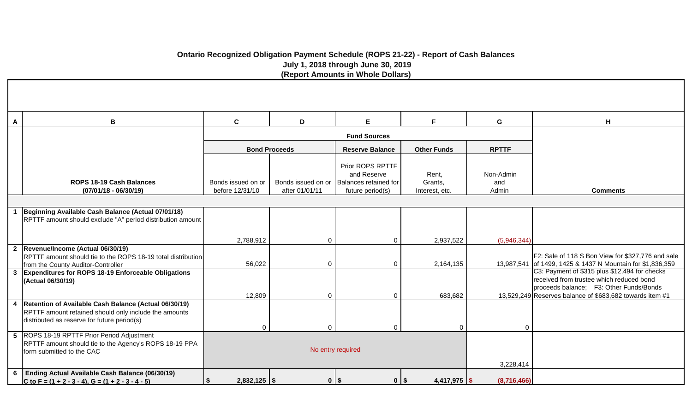### **Ontario Recognized Obligation Payment Schedule (ROPS 21-22) - Report of Cash Balances July 1, 2018 through June 30, 2019 (Report Amounts in Whole Dollars)**

| A | В                                                                                                                                                                 | $\mathbf c$                           | D                    | E                                                                                                 | F                                  | G                         | H                                                                                                                                                                                                |
|---|-------------------------------------------------------------------------------------------------------------------------------------------------------------------|---------------------------------------|----------------------|---------------------------------------------------------------------------------------------------|------------------------------------|---------------------------|--------------------------------------------------------------------------------------------------------------------------------------------------------------------------------------------------|
|   |                                                                                                                                                                   |                                       |                      | <b>Fund Sources</b>                                                                               |                                    |                           |                                                                                                                                                                                                  |
|   |                                                                                                                                                                   |                                       | <b>Bond Proceeds</b> | <b>Reserve Balance</b>                                                                            | <b>Other Funds</b>                 | <b>RPTTF</b>              |                                                                                                                                                                                                  |
|   | <b>ROPS 18-19 Cash Balances</b><br>$(07/01/18 - 06/30/19)$                                                                                                        | Bonds issued on or<br>before 12/31/10 | after 01/01/11       | Prior ROPS RPTTF<br>and Reserve<br>Bonds issued on or   Balances retained for<br>future period(s) | Rent,<br>Grants,<br>Interest, etc. | Non-Admin<br>and<br>Admin | <b>Comments</b>                                                                                                                                                                                  |
|   |                                                                                                                                                                   |                                       |                      |                                                                                                   |                                    |                           |                                                                                                                                                                                                  |
|   | Beginning Available Cash Balance (Actual 07/01/18)<br>RPTTF amount should exclude "A" period distribution amount                                                  |                                       |                      |                                                                                                   |                                    |                           |                                                                                                                                                                                                  |
|   |                                                                                                                                                                   | 2,788,912                             | $\Omega$             |                                                                                                   | 2,937,522                          | (5,946,344)               |                                                                                                                                                                                                  |
|   | 2  Revenue/Income (Actual 06/30/19)<br>RPTTF amount should tie to the ROPS 18-19 total distribution<br>from the County Auditor-Controller                         | 56,022                                | $\Omega$             |                                                                                                   | 2,164,135                          |                           | F2: Sale of 118 S Bon View for \$327,776 and sale<br>13,987,541 of 1499, 1425 & 1437 N Mountain for \$1,836,359                                                                                  |
|   | 3   Expenditures for ROPS 18-19 Enforceable Obligations<br>(Actual 06/30/19)                                                                                      | 12,809                                | $\Omega$             | $\Omega$                                                                                          | 683,682                            |                           | C3: Payment of \$315 plus \$12,494 for checks<br>received from trustee which reduced bond<br>proceeds balance; F3: Other Funds/Bonds<br>13.529.249 Reserves balance of \$683,682 towards item #1 |
|   | 4   Retention of Available Cash Balance (Actual 06/30/19)<br>RPTTF amount retained should only include the amounts<br>distributed as reserve for future period(s) | $\mathbf 0$                           | $\Omega$             | $\Omega$                                                                                          | 0                                  | $\Omega$                  |                                                                                                                                                                                                  |
|   | 5 ROPS 18-19 RPTTF Prior Period Adjustment<br>RPTTF amount should tie to the Agency's ROPS 18-19 PPA<br>form submitted to the CAC                                 |                                       |                      | No entry required                                                                                 |                                    | 3,228,414                 |                                                                                                                                                                                                  |
|   | 6   Ending Actual Available Cash Balance (06/30/19)<br>C to F = $(1 + 2 - 3 - 4)$ , G = $(1 + 2 - 3 - 4 - 5)$                                                     | \$<br>$2,832,125$ \$                  |                      | $0$   \$<br>$0$   \$                                                                              | $4,417,975$ \$                     | (8,716,466)               |                                                                                                                                                                                                  |